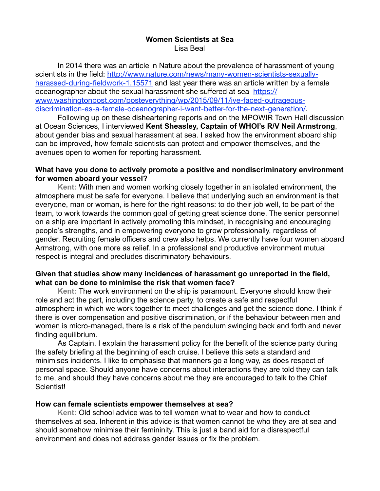#### **Women Scientists at Sea** Lisa Beal

In 2014 there was an article in Nature about the prevalence of harassment of young scientists in the field: [http://www.nature.com/news/many-women-scientists-sexually](http://www.nature.com/news/many-women-scientists-sexually-harassed-during-fieldwork-1.15571)harassed-during-fieldwork-1.15571 and last year there was an article written by a female oceanographer about the sexual harassment she suffered at sea https:// [www.washingtonpost.com/posteverything/wp/2015/09/11/ive-faced-outrageous](https://urldefense.proofpoint.com/v2/url?u=https-3A__www.washingtonpost.com_posteverything_wp_2015_09_11_ive-2Dfaced-2Doutrageous-2Ddiscrimination-2Das-2Da-2Dfemale-2Doceanographer-2Di-2Dwant-2Dbetter-2Dfor-2Dthe-2Dnext-2Dgeneration_&d=CwMDaQ&c=y2w-uYmhgFWijp_IQN0DhA&r=5aKz4HjDNEQ3ps_MXRPaicrNIT8JiR4O_sP6rr281fA&m=DocqdttwGTtXOePrsgDOKY_5x5XxvbV4GhqT6h9oa2s&s=t4LIDunnx_88-aKm_RecOBN2Iy5I9lVVk-SaoUghOgY&e=)discrimination-as-a-female-oceanographer-i-want-better-for-the-next-generation/.

 Following up on these disheartening reports and on the MPOWIR Town Hall discussion at Ocean Sciences, I interviewed **Kent Sheasley, Captain of WHOI's R/V Neil Armstrong**, about gender bias and sexual harassment at sea. I asked how the environment aboard ship can be improved, how female scientists can protect and empower themselves, and the avenues open to women for reporting harassment.

#### **What have you done to actively promote a positive and nondiscriminatory environment for women aboard your vessel?**

**Kent:** With men and women working closely together in an isolated environment, the atmosphere must be safe for everyone. I believe that underlying such an environment is that everyone, man or woman, is here for the right reasons: to do their job well, to be part of the team, to work towards the common goal of getting great science done. The senior personnel on a ship are important in actively promoting this mindset, in recognising and encouraging people's strengths, and in empowering everyone to grow professionally, regardless of gender. Recruiting female officers and crew also helps. We currently have four women aboard Armstrong, with one more as relief. In a professional and productive environment mutual respect is integral and precludes discriminatory behaviours.

## **Given that studies show many incidences of harassment go unreported in the field, what can be done to minimise the risk that women face?**

**Kent:** The work environment on the ship is paramount. Everyone should know their role and act the part, including the science party, to create a safe and respectful atmosphere in which we work together to meet challenges and get the science done. I think if there is over compensation and positive discrimination, or if the behaviour between men and women is micro-managed, there is a risk of the pendulum swinging back and forth and never finding equilibrium.

As Captain, I explain the harassment policy for the benefit of the science party during the safety briefing at the beginning of each cruise. I believe this sets a standard and minimises incidents. I like to emphasise that manners go a long way, as does respect of personal space. Should anyone have concerns about interactions they are told they can talk to me, and should they have concerns about me they are encouraged to talk to the Chief **Scientist!** 

# **How can female scientists empower themselves at sea?**

**Kent:** Old school advice was to tell women what to wear and how to conduct themselves at sea. Inherent in this advice is that women cannot be who they are at sea and should somehow minimise their femininity. This is just a band aid for a disrespectful environment and does not address gender issues or fix the problem.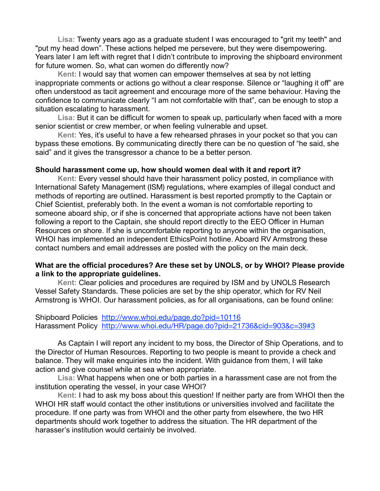**Lisa:** Twenty years ago as a graduate student I was encouraged to "grit my teeth" and "put my head down". These actions helped me persevere, but they were disempowering. Years later I am left with regret that I didn't contribute to improving the shipboard environment for future women. So, what can women do differently now? 

**Kent:** I would say that women can empower themselves at sea by not letting inappropriate comments or actions go without a clear response. Silence or "laughing it off" are often understood as tacit agreement and encourage more of the same behaviour. Having the confidence to communicate clearly "I am not comfortable with that", can be enough to stop a situation escalating to harassment.

**Lisa:** But it can be difficult for women to speak up, particularly when faced with a more senior scientist or crew member, or when feeling vulnerable and upset.

**Kent:** Yes, it's useful to have a few rehearsed phrases in your pocket so that you can bypass these emotions. By communicating directly there can be no question of "he said, she said" and it gives the transgressor a chance to be a better person.

## **Should harassment come up, how should women deal with it and report it?**

**Kent:** Every vessel should have their harassment policy posted, in compliance with International Safety Management (ISM) regulations, where examples of illegal conduct and methods of reporting are outlined. Harassment is best reported promptly to the Captain or Chief Scientist, preferably both. In the event a woman is not comfortable reporting to someone aboard ship, or if she is concerned that appropriate actions have not been taken following a report to the Captain, she should report directly to the EEO Officer in Human Resources on shore. If she is uncomfortable reporting to anyone within the organisation, WHOI has implemented an independent EthicsPoint hotline. Aboard RV Armstrong these contact numbers and email addresses are posted with the policy on the main deck.

# **What are the official procedures? Are these set by UNOLS, or by WHOI? Please provide a link to the appropriate guidelines.**

**Kent:** Clear policies and procedures are required by ISM and by UNOLS Research Vessel Safety Standards. These policies are set by the ship operator, which for RV Neil Armstrong is WHOI. Our harassment policies, as for all organisations, can be found online:

## Shipboard Policies <http://www.whoi.edu/page.do?pid=10116> Harassment Policy <http://www.whoi.edu/HR/page.do?pid=21736&cid=903&c=39#3>

 As Captain I will report any incident to my boss, the Director of Ship Operations, and to the Director of Human Resources. Reporting to two people is meant to provide a check and balance. They will make enquiries into the incident. With guidance from them, I will take action and give counsel while at sea when appropriate.

**Lisa:** What happens when one or both parties in a harassment case are not from the institution operating the vessel, in your case WHOI?

 **Kent:** I had to ask my boss about this question! If neither party are from WHOI then the WHOI HR staff would contact the other institutions or universities involved and facilitate the procedure. If one party was from WHOI and the other party from elsewhere, the two HR departments should work together to address the situation. The HR department of the harasser's institution would certainly be involved.